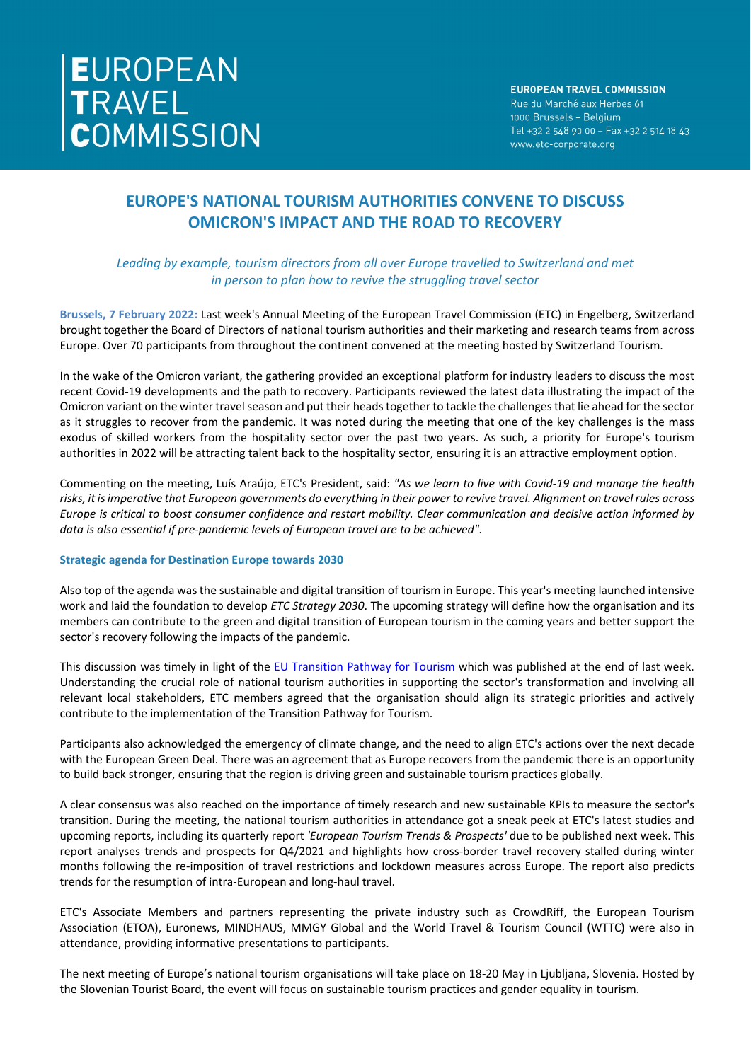# **EUROPE'S NATIONAL TOURISM AUTHORITIES CONVENE TO DISCUSS OMICRON'S IMPACT AND THE ROAD TO RECOVERY**

## *Leading by example, tourism directors from all over Europe travelled to Switzerland and met in person to plan how to revive the struggling travel sector*

**Brussels, 7 February 2022:** Last week's Annual Meeting of the European Travel Commission (ETC) in Engelberg, Switzerland brought together the Board of Directors of national tourism authorities and their marketing and research teams from across Europe. Over 70 participants from throughout the continent convened at the meeting hosted by Switzerland Tourism.

In the wake of the Omicron variant, the gathering provided an exceptional platform for industry leaders to discuss the most recent Covid-19 developments and the path to recovery. Participants reviewed the latest data illustrating the impact of the Omicron variant on the winter travel season and put their heads together to tackle the challenges that lie ahead for the sector as it struggles to recover from the pandemic. It was noted during the meeting that one of the key challenges is the mass exodus of skilled workers from the hospitality sector over the past two years. As such, a priority for Europe's tourism authorities in 2022 will be attracting talent back to the hospitality sector, ensuring it is an attractive employment option.

Commenting on the meeting, Luís Araújo, ETC's President, said: *"As we learn to live with Covid-19 and manage the health risks, it is imperative that European governments do everything in their power to revive travel. Alignment on travel rules across Europe is critical to boost consumer confidence and restart mobility. Clear communication and decisive action informed by data is also essential if pre-pandemic levels of European travel are to be achieved".*

#### **Strategic agenda for Destination Europe towards 2030**

Also top of the agenda was the sustainable and digital transition of tourism in Europe. This year's meeting launched intensive work and laid the foundation to develop *ETC Strategy 2030*. The upcoming strategy will define how the organisation and its members can contribute to the green and digital transition of European tourism in the coming years and better support the sector's recovery following the impacts of the pandemic.

This discussion was timely in light of the [EU Transition Pathway for Tourism](https://ec.europa.eu/growth/news/transition-pathway-tourism-published-today-2022-02-04_en) which was published at the end of last week. Understanding the crucial role of national tourism authorities in supporting the sector's transformation and involving all relevant local stakeholders, ETC members agreed that the organisation should align its strategic priorities and actively contribute to the implementation of the Transition Pathway for Tourism.

Participants also acknowledged the emergency of climate change, and the need to align ETC's actions over the next decade with the European Green Deal. There was an agreement that as Europe recovers from the pandemic there is an opportunity to build back stronger, ensuring that the region is driving green and sustainable tourism practices globally.

A clear consensus was also reached on the importance of timely research and new sustainable KPIs to measure the sector's transition. During the meeting, the national tourism authorities in attendance got a sneak peek at ETC's latest studies and upcoming reports, including its quarterly report *'European Tourism Trends & Prospects'* due to be published next week. This report analyses trends and prospects for Q4/2021 and highlights how cross-border travel recovery stalled during winter months following the re-imposition of travel restrictions and lockdown measures across Europe. The report also predicts trends for the resumption of intra-European and long-haul travel.

ETC's Associate Members and partners representing the private industry such as CrowdRiff, the European Tourism Association (ETOA), Euronews, MINDHAUS, MMGY Global and the World Travel & Tourism Council (WTTC) were also in attendance, providing informative presentations to participants.

The next meeting of Europe's national tourism organisations will take place on 18-20 May in Ljubljana, Slovenia. Hosted by the Slovenian Tourist Board, the event will focus on sustainable tourism practices and gender equality in tourism.